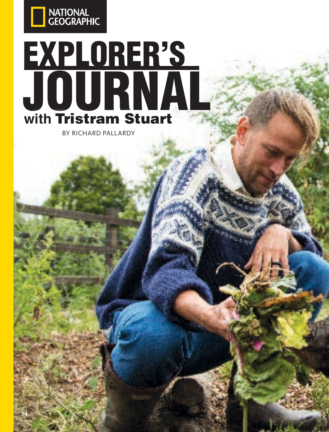

# EXPLORER'S JOURNAL **with** Tristram Stuart

BY RICHARD PALLARDY

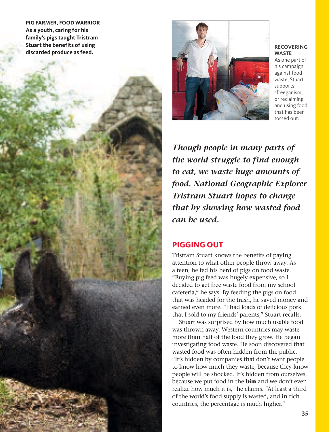**PIG FARMER, FOOD WARRIOR As a youth, caring for his family's pigs taught Tristram Stuart the benefits of using discarded produce as feed.**



#### **RECOVERING WASTE**

As one part of his campaign against food waste, Stuart supports "freeganism," or reclaiming and using food that has been tossed out.

*Though people in many parts of the world struggle to find enough to eat, we waste huge amounts of food. National Geographic Explorer Tristram Stuart hopes to change that by showing how wasted food can be used.* 

## **PIGGING OUT**

Tristram Stuart knows the benefits of paying attention to what other people throw away. As a teen, he fed his herd of pigs on food waste. "Buying pig feed was hugely expensive, so I decided to get free waste food from my school cafeteria," he says. By feeding the pigs on food that was headed for the trash, he saved money and earned even more. "I had loads of delicious pork that I sold to my friends' parents," Stuart recalls.

Stuart was surprised by how much usable food was thrown away. Western countries may waste more than half of the food they grow. He began investigating food waste. He soon discovered that wasted food was often hidden from the public. "It's hidden by companies that don't want people to know how much they waste, because they know people will be shocked. It's hidden from ourselves, because we put food in the **bin** and we don't even realize how much it is," he claims. "At least a third of the world's food supply is wasted, and in rich countries, the percentage is much higher."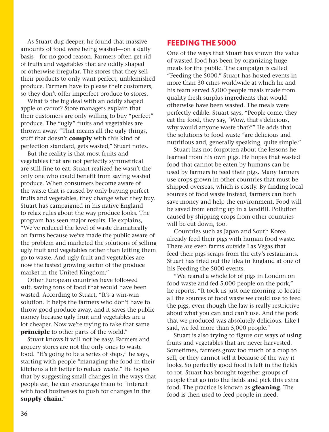As Stuart dug deeper, he found that massive amounts of food were being wasted—on a daily basis—for no good reason. Farmers often get rid of fruits and vegetables that are oddly shaped or otherwise irregular. The stores that they sell their products to only want perfect, unblemished produce. Farmers have to please their customers, so they don't offer imperfect produce to stores.

What is the big deal with an oddly shaped apple or carrot? Store managers explain that their customers are only willing to buy "perfect" produce. The "ugly" fruits and vegetables are thrown away. "That means all the ugly things, stuff that doesn't **comply** with this kind of perfection standard, gets wasted," Stuart notes.

But the reality is that most fruits and vegetables that are not perfectly symmetrical are still fine to eat. Stuart realized he wasn't the only one who could benefit from saving wasted produce. When consumers become aware of the waste that is caused by only buying perfect fruits and vegetables, they change what they buy. Stuart has campaigned in his native England to relax rules about the way produce looks. The program has seen major results. He explains, "We've reduced the level of waste dramatically on farms because we've made the public aware of the problem and marketed the solutions of selling ugly fruit and vegetables rather than letting them go to waste. And ugly fruit and vegetables are now the fastest growing sector of the produce market in the United Kingdom."

Other European countries have followed suit, saving tons of food that would have been wasted. According to Stuart, "It's a win-win solution. It helps the farmers who don't have to throw good produce away, and it saves the public money because ugly fruit and vegetables are a lot cheaper. Now we're trying to take that same **principle** to other parts of the world."

Stuart knows it will not be easy. Farmers and grocery stores are not the only ones to waste food. "It's going to be a series of steps," he says, starting with people "managing the food in their kitchens a bit better to reduce waste." He hopes that by suggesting small changes in the ways that people eat, he can encourage them to "interact with food businesses to push for changes in the **supply chain**."

## **FEEDING THE 5000**

One of the ways that Stuart has shown the value of wasted food has been by organizing huge meals for the public. The campaign is called "Feeding the 5000." Stuart has hosted events in more than 30 cities worldwide at which he and his team served 5,000 people meals made from quality fresh surplus ingredients that would otherwise have been wasted. The meals were perfectly edible. Stuart says, "People come, they eat the food, they say, 'Wow, that's delicious, why would anyone waste that?'" He adds that the solutions to food waste "are delicious and nutritious and, generally speaking, quite simple."

Stuart has not forgotten about the lessons he learned from his own pigs. He hopes that wasted food that cannot be eaten by humans can be used by farmers to feed their pigs. Many farmers use crops grown in other countries that must be shipped overseas, which is costly. By finding local sources of food waste instead, farmers can both save money and help the environment. Food will be saved from ending up in a landfill. Pollution caused by shipping crops from other countries will be cut down, too.

Countries such as Japan and South Korea already feed their pigs with human food waste. There are even farms outside Las Vegas that feed their pigs scraps from the city's restaurants. Stuart has tried out the idea in England at one of his Feeding the 5000 events.

"We reared a whole lot of pigs in London on food waste and fed 5,000 people on the pork," he reports. "It took us just one morning to locate all the sources of food waste we could use to feed the pigs, even though the law is really restrictive about what you can and can't use. And the pork that we produced was absolutely delicious. Like I said, we fed more than 5,000 people."

Stuart is also trying to figure out ways of using fruits and vegetables that are never harvested. Sometimes, farmers grow too much of a crop to sell, or they cannot sell it because of the way it looks. So perfectly good food is left in the fields to rot. Stuart has brought together groups of people that go into the fields and pick this extra food. The practice is known as **gleaning**. The food is then used to feed people in need.